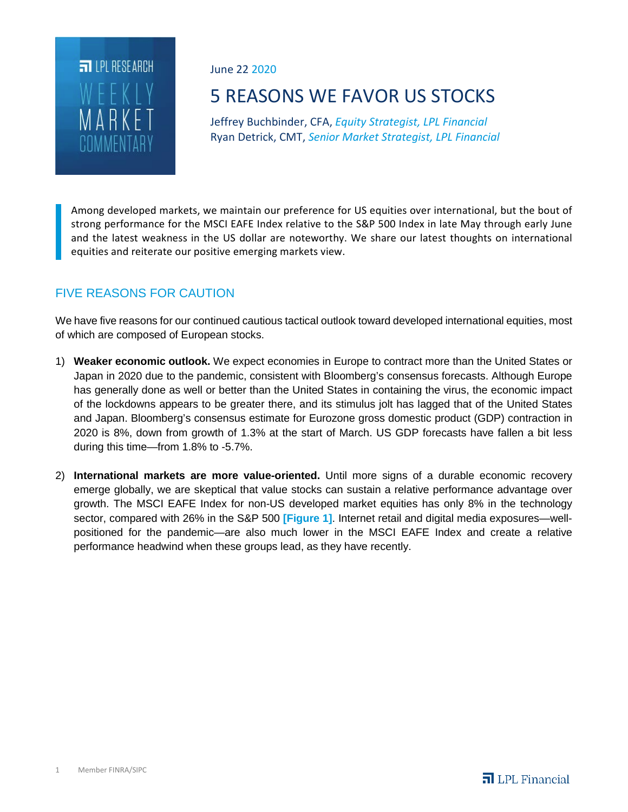

June 22 2020

# 5 REASONS WE FAVOR US STOCKS

Jeffrey Buchbinder, CFA, *Equity Strategist, LPL Financial* Ryan Detrick, CMT, *Senior Market Strategist, LPL Financial*

Among developed markets, we maintain our preference for US equities over international, but the bout of strong performance for the MSCI EAFE Index relative to the S&P 500 Index in late May through early June and the latest weakness in the US dollar are noteworthy. We share our latest thoughts on international equities and reiterate our positive emerging markets view.

## FIVE REASONS FOR CAUTION

We have five reasons for our continued cautious tactical outlook toward developed international equities, most of which are composed of European stocks.

- 1) **Weaker economic outlook.** We expect economies in Europe to contract more than the United States or Japan in 2020 due to the pandemic, consistent with Bloomberg's consensus forecasts. Although Europe has generally done as well or better than the United States in containing the virus, the economic impact of the lockdowns appears to be greater there, and its stimulus jolt has lagged that of the United States and Japan. Bloomberg's consensus estimate for Eurozone gross domestic product (GDP) contraction in 2020 is 8%, down from growth of 1.3% at the start of March. US GDP forecasts have fallen a bit less during this time—from 1.8% to -5.7%.
- 2) **International markets are more value-oriented.** Until more signs of a durable economic recovery emerge globally, we are skeptical that value stocks can sustain a relative performance advantage over growth. The MSCI EAFE Index for non-US developed market equities has only 8% in the technology sector, compared with 26% in the S&P 500 **[Figure 1]**. Internet retail and digital media exposures—wellpositioned for the pandemic—are also much lower in the MSCI EAFE Index and create a relative performance headwind when these groups lead, as they have recently.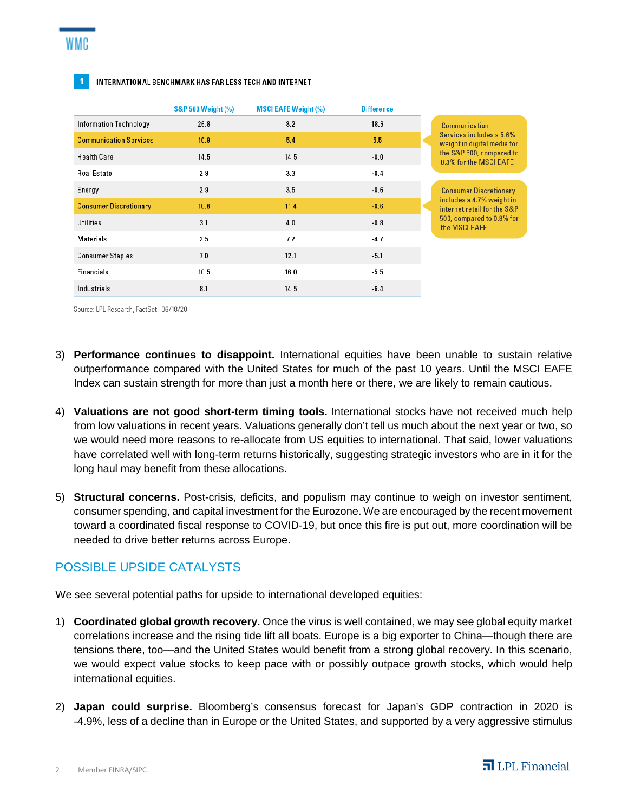#### INTERNATIONAL BENCHMARK HAS FAR LESS TECH AND INTERNET

|                               | <b>S&amp;P 500 Weight (%)</b> | <b>MSCI EAFE Weight (%)</b> | <b>Difference</b> |                                                                                                                                         |
|-------------------------------|-------------------------------|-----------------------------|-------------------|-----------------------------------------------------------------------------------------------------------------------------------------|
| <b>Information Technology</b> | 26.8                          | 8.2                         | 18.6              | Communication<br>Services includes a 5.6%<br>weight in digital media for<br>the S&P 500, compared to<br>0.3% for the MSCI EAFE          |
| <b>Communication Services</b> | 10.9                          | 5.4                         | 5.5               |                                                                                                                                         |
| <b>Health Care</b>            | 14.5                          | 14.5                        | $-0.0$            |                                                                                                                                         |
| <b>Real Estate</b>            | 2.9                           | 3.3                         | $-0.4$            |                                                                                                                                         |
| Energy                        | 2.9                           | 3.5                         | $-0.6$            | <b>Consumer Discretionary</b><br>includes a 4.7% weight in<br>internet retail for the S&P<br>500, compared to 0.8% for<br>the MSCI EAFE |
| <b>Consumer Discretionary</b> | 10.8                          | 11.4                        | $-0.6$            |                                                                                                                                         |
| Utilities                     | 3.1                           | 4.0                         | $-0.8$            |                                                                                                                                         |
| Materials                     | 2.5                           | 7.2                         | $-4.7$            |                                                                                                                                         |
| <b>Consumer Staples</b>       | 7.0                           | 12.1                        | $-5.1$            |                                                                                                                                         |
| Financials                    | 10.5                          | 16.0                        | -5.5              |                                                                                                                                         |
| Industrials                   | 8.1                           | 14.5                        | $-6.4$            |                                                                                                                                         |

Source: LPL Research, FactSet 06/18/20

- 3) **Performance continues to disappoint.** International equities have been unable to sustain relative outperformance compared with the United States for much of the past 10 years. Until the MSCI EAFE Index can sustain strength for more than just a month here or there, we are likely to remain cautious.
- 4) **Valuations are not good short-term timing tools.** International stocks have not received much help from low valuations in recent years. Valuations generally don't tell us much about the next year or two, so we would need more reasons to re-allocate from US equities to international. That said, lower valuations have correlated well with long-term returns historically, suggesting strategic investors who are in it for the long haul may benefit from these allocations.
- 5) **Structural concerns.** Post-crisis, deficits, and populism may continue to weigh on investor sentiment, consumer spending, and capital investment for the Eurozone. We are encouraged by the recent movement toward a coordinated fiscal response to COVID-19, but once this fire is put out, more coordination will be needed to drive better returns across Europe.

### POSSIBLE UPSIDE CATALYSTS

We see several potential paths for upside to international developed equities:

- 1) **Coordinated global growth recovery.** Once the virus is well contained, we may see global equity market correlations increase and the rising tide lift all boats. Europe is a big exporter to China—though there are tensions there, too—and the United States would benefit from a strong global recovery. In this scenario, we would expect value stocks to keep pace with or possibly outpace growth stocks, which would help international equities.
- 2) **Japan could surprise.** Bloomberg's consensus forecast for Japan's GDP contraction in 2020 is -4.9%, less of a decline than in Europe or the United States, and supported by a very aggressive stimulus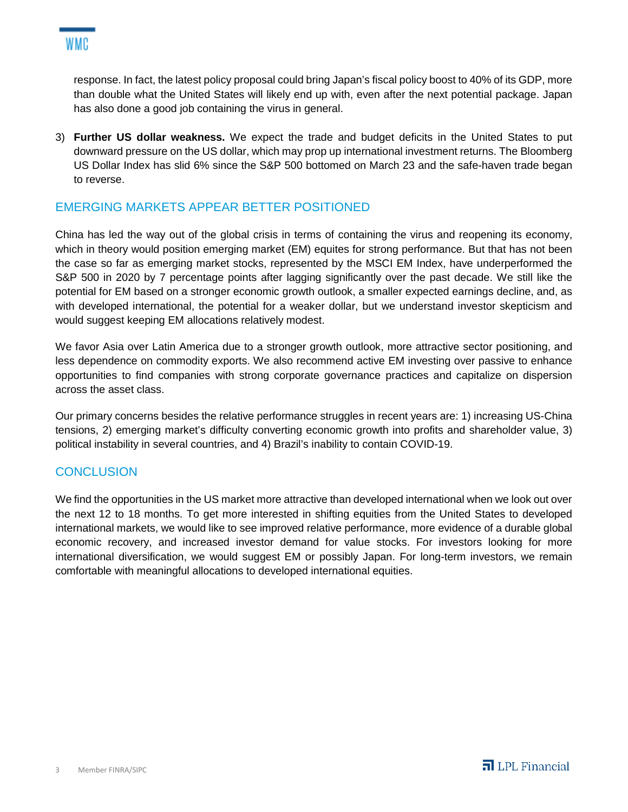

response. In fact, the latest policy proposal could bring Japan's fiscal policy boost to 40% of its GDP, more than double what the United States will likely end up with, even after the next potential package. Japan has also done a good job containing the virus in general.

3) **Further US dollar weakness.** We expect the trade and budget deficits in the United States to put downward pressure on the US dollar, which may prop up international investment returns. The Bloomberg US Dollar Index has slid 6% since the S&P 500 bottomed on March 23 and the safe-haven trade began to reverse.

### EMERGING MARKETS APPEAR BETTER POSITIONED

China has led the way out of the global crisis in terms of containing the virus and reopening its economy, which in theory would position emerging market (EM) equites for strong performance. But that has not been the case so far as emerging market stocks, represented by the MSCI EM Index, have underperformed the S&P 500 in 2020 by 7 percentage points after lagging significantly over the past decade. We still like the potential for EM based on a stronger economic growth outlook, a smaller expected earnings decline, and, as with developed international, the potential for a weaker dollar, but we understand investor skepticism and would suggest keeping EM allocations relatively modest.

We favor Asia over Latin America due to a stronger growth outlook, more attractive sector positioning, and less dependence on commodity exports. We also recommend active EM investing over passive to enhance opportunities to find companies with strong corporate governance practices and capitalize on dispersion across the asset class.

Our primary concerns besides the relative performance struggles in recent years are: 1) increasing US-China tensions, 2) emerging market's difficulty converting economic growth into profits and shareholder value, 3) political instability in several countries, and 4) Brazil's inability to contain COVID-19.

### **CONCLUSION**

We find the opportunities in the US market more attractive than developed international when we look out over the next 12 to 18 months. To get more interested in shifting equities from the United States to developed international markets, we would like to see improved relative performance, more evidence of a durable global economic recovery, and increased investor demand for value stocks. For investors looking for more international diversification, we would suggest EM or possibly Japan. For long-term investors, we remain comfortable with meaningful allocations to developed international equities.